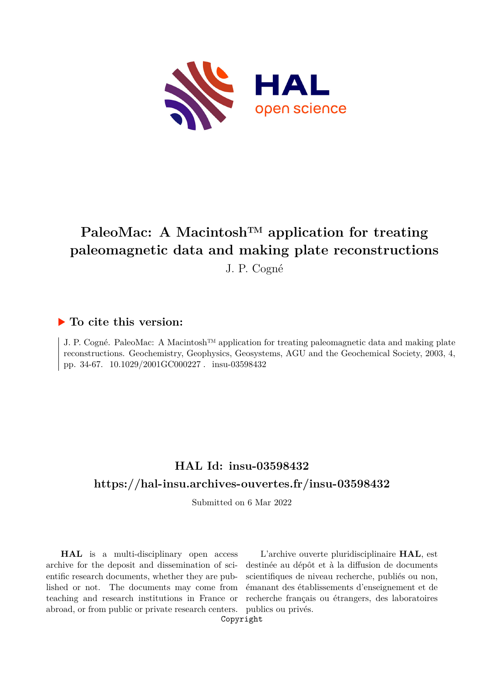

# **PaleoMac: A Macintosh™ application for treating paleomagnetic data and making plate reconstructions**

J. P. Cogné

## **To cite this version:**

J. P. Cogné. PaleoMac: A Macintosh™ application for treating paleomagnetic data and making plate reconstructions. Geochemistry, Geophysics, Geosystems, AGU and the Geochemical Society, 2003, 4, pp. 34-67.  $10.1029/2001$ GC000227 . insu-03598432

## **HAL Id: insu-03598432 <https://hal-insu.archives-ouvertes.fr/insu-03598432>**

Submitted on 6 Mar 2022

**HAL** is a multi-disciplinary open access archive for the deposit and dissemination of scientific research documents, whether they are published or not. The documents may come from teaching and research institutions in France or abroad, or from public or private research centers.

L'archive ouverte pluridisciplinaire **HAL**, est destinée au dépôt et à la diffusion de documents scientifiques de niveau recherche, publiés ou non, émanant des établissements d'enseignement et de recherche français ou étrangers, des laboratoires publics ou privés.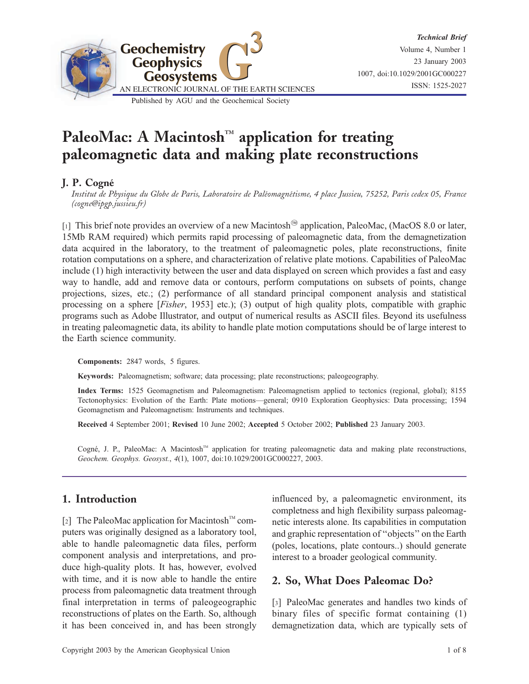

## PaleoMac: A Macintosh<sup>TM</sup> application for treating paleomagnetic data and making plate reconstructions

#### J. P. Cogne´

Institut de Physique du Globe de Paris, Laboratoire de Paléomagnétisme, 4 place Jussieu, 75252, Paris cedex 05, France (cogne@ipgp.jussieu.fr)

[1] This brief note provides an overview of a new Macintosh<sup>®</sup> application, PaleoMac, (MacOS 8.0 or later, 15Mb RAM required) which permits rapid processing of paleomagnetic data, from the demagnetization data acquired in the laboratory, to the treatment of paleomagnetic poles, plate reconstructions, finite rotation computations on a sphere, and characterization of relative plate motions. Capabilities of PaleoMac include (1) high interactivity between the user and data displayed on screen which provides a fast and easy way to handle, add and remove data or contours, perform computations on subsets of points, change projections, sizes, etc.; (2) performance of all standard principal component analysis and statistical processing on a sphere [*Fisher*, 1953] etc.); (3) output of high quality plots, compatible with graphic programs such as Adobe Illustrator, and output of numerical results as ASCII files. Beyond its usefulness in treating paleomagnetic data, its ability to handle plate motion computations should be of large interest to the Earth science community.

Components: 2847 words, 5 figures.

Keywords: Paleomagnetism; software; data processing; plate reconstructions; paleogeography.

Index Terms: 1525 Geomagnetism and Paleomagnetism: Paleomagnetism applied to tectonics (regional, global); 8155 Tectonophysics: Evolution of the Earth: Plate motions—general; 0910 Exploration Geophysics: Data processing; 1594 Geomagnetism and Paleomagnetism: Instruments and techniques.

Received 4 September 2001; Revised 10 June 2002; Accepted 5 October 2002; Published 23 January 2003.

Cogné, J. P., PaleoMac: A Macintosh<sup>TM</sup> application for treating paleomagnetic data and making plate reconstructions, Geochem. Geophys. Geosyst., 4(1), 1007, doi:10.1029/2001GC000227, 2003.

## 1. Introduction

[2] The PaleoMac application for Macintosh<sup>™</sup> computers was originally designed as a laboratory tool, able to handle paleomagnetic data files, perform component analysis and interpretations, and produce high-quality plots. It has, however, evolved with time, and it is now able to handle the entire process from paleomagnetic data treatment through final interpretation in terms of paleogeographic reconstructions of plates on the Earth. So, although it has been conceived in, and has been strongly influenced by, a paleomagnetic environment, its completness and high flexibility surpass paleomagnetic interests alone. Its capabilities in computation and graphic representation of ''objects'' on the Earth (poles, locations, plate contours..) should generate interest to a broader geological community.

## 2. So, What Does Paleomac Do?

[3] PaleoMac generates and handles two kinds of binary files of specific format containing (1) demagnetization data, which are typically sets of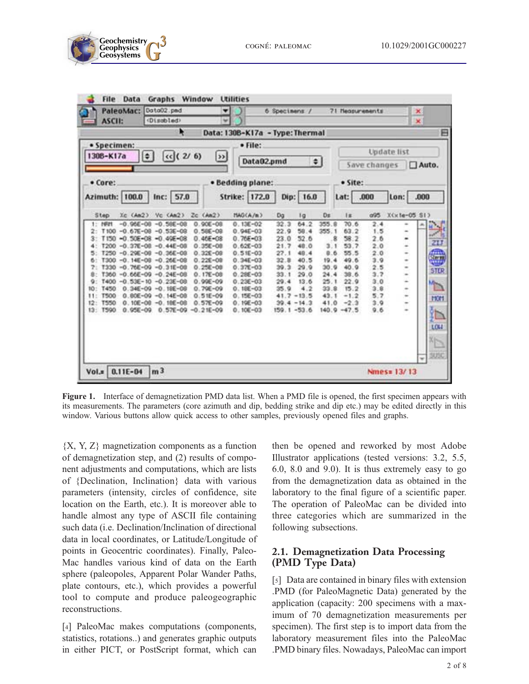



Figure 1. Interface of demagnetization PMD data list. When a PMD file is opened, the first specimen appears with its measurements. The parameters (core azimuth and dip, bedding strike and dip etc.) may be edited directly in this window. Various buttons allow quick access to other samples, previously opened files and graphs.

 ${X, Y, Z}$  magnetization components as a function of demagnetization step, and (2) results of component adjustments and computations, which are lists of {Declination, Inclination} data with various parameters (intensity, circles of confidence, site location on the Earth, etc.). It is moreover able to handle almost any type of ASCII file containing such data (i.e. Declination/Inclination of directional data in local coordinates, or Latitude/Longitude of points in Geocentric coordinates). Finally, Paleo-Mac handles various kind of data on the Earth sphere (paleopoles, Apparent Polar Wander Paths, plate contours, etc.), which provides a powerful tool to compute and produce paleogeographic reconstructions.

[4] PaleoMac makes computations (components, statistics, rotations..) and generates graphic outputs in either PICT, or PostScript format, which can then be opened and reworked by most Adobe Illustrator applications (tested versions: 3.2, 5.5, 6.0, 8.0 and 9.0). It is thus extremely easy to go from the demagnetization data as obtained in the laboratory to the final figure of a scientific paper. The operation of PaleoMac can be divided into three categories which are summarized in the following subsections.

#### 2.1. Demagnetization Data Processing (PMD Type Data)

[5] Data are contained in binary files with extension .PMD (for PaleoMagnetic Data) generated by the application (capacity: 200 specimens with a maximum of 70 demagnetization measurements per specimen). The first step is to import data from the laboratory measurement files into the PaleoMac .PMD binary files. Nowadays, PaleoMac can import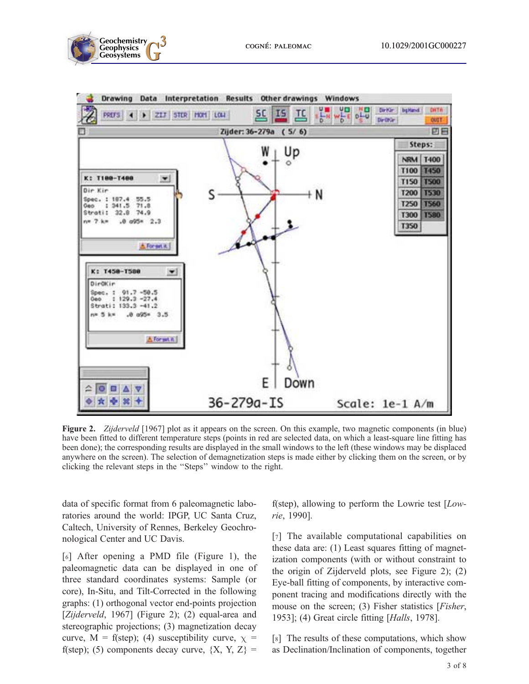



Figure 2. Zijderveld [1967] plot as it appears on the screen. On this example, two magnetic components (in blue) have been fitted to different temperature steps (points in red are selected data, on which a least-square line fitting has been done); the corresponding results are displayed in the small windows to the left (these windows may be displaced anywhere on the screen). The selection of demagnetization steps is made either by clicking them on the screen, or by clicking the relevant steps in the ''Steps'' window to the right.

data of specific format from 6 paleomagnetic laboratories around the world: IPGP, UC Santa Cruz, Caltech, University of Rennes, Berkeley Geochronological Center and UC Davis.

[6] After opening a PMD file (Figure 1), the paleomagnetic data can be displayed in one of three standard coordinates systems: Sample (or core), In-Situ, and Tilt-Corrected in the following graphs: (1) orthogonal vector end-points projection [Zijderveld, 1967] (Figure 2); (2) equal-area and stereographic projections; (3) magnetization decay curve, M = f(step); (4) susceptibility curve,  $\chi$  = f(step); (5) components decay curve,  ${X, Y, Z} =$ 

f(step), allowing to perform the Lowrie test  $[Low$ rie, 1990].

[7] The available computational capabilities on these data are: (1) Least squares fitting of magnetization components (with or without constraint to the origin of Zijderveld plots, see Figure 2); (2) Eye-ball fitting of components, by interactive component tracing and modifications directly with the mouse on the screen; (3) Fisher statistics [*Fisher*, 1953]; (4) Great circle fitting [Halls, 1978].

[8] The results of these computations, which show as Declination/Inclination of components, together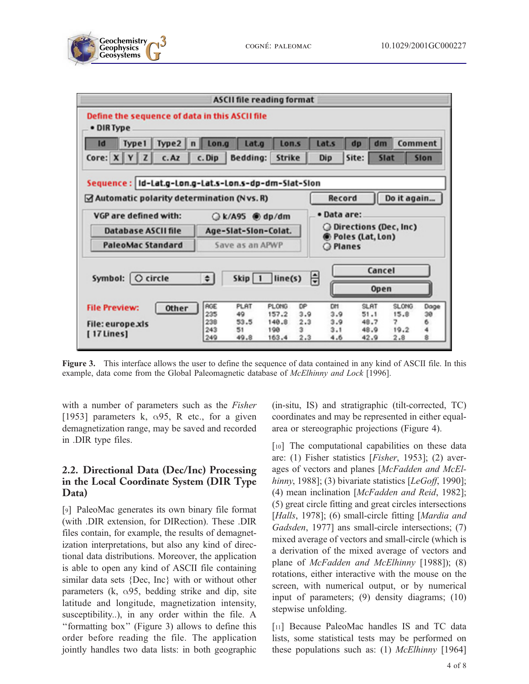





Figure 3. This interface allows the user to define the sequence of data contained in any kind of ASCII file. In this example, data come from the Global Paleomagnetic database of McElhinny and Lock [1996].

with a number of parameters such as the *Fisher* [1953] parameters k,  $\alpha$ 95, R etc., for a given demagnetization range, may be saved and recorded in .DIR type files.

#### 2.2. Directional Data (Dec/Inc) Processing in the Local Coordinate System (DIR Type Data)

[9] PaleoMac generates its own binary file format (with .DIR extension, for DIRection). These .DIR files contain, for example, the results of demagnetization interpretations, but also any kind of directional data distributions. Moreover, the application is able to open any kind of ASCII file containing similar data sets {Dec, Inc} with or without other parameters (k,  $\alpha$ 95, bedding strike and dip, site latitude and longitude, magnetization intensity, susceptibility..), in any order within the file. A ''formatting box'' (Figure 3) allows to define this order before reading the file. The application jointly handles two data lists: in both geographic (in-situ, IS) and stratigraphic (tilt-corrected, TC) coordinates and may be represented in either equalarea or stereographic projections (Figure 4).

[10] The computational capabilities on these data are: (1) Fisher statistics [Fisher, 1953]; (2) averages of vectors and planes [McFadden and McElhinny, 1988]; (3) bivariate statistics [ $LeGoff$ , 1990]; (4) mean inclination [McFadden and Reid, 1982]; (5) great circle fitting and great circles intersections [Halls, 1978]; (6) small-circle fitting [Mardia and Gadsden, 1977] ans small-circle intersections; (7) mixed average of vectors and small-circle (which is a derivation of the mixed average of vectors and plane of *McFadden and McElhinny* [1988]); (8) rotations, either interactive with the mouse on the screen, with numerical output, or by numerical input of parameters; (9) density diagrams; (10) stepwise unfolding.

[11] Because PaleoMac handles IS and TC data lists, some statistical tests may be performed on these populations such as: (1)  $McElhinny$  [1964]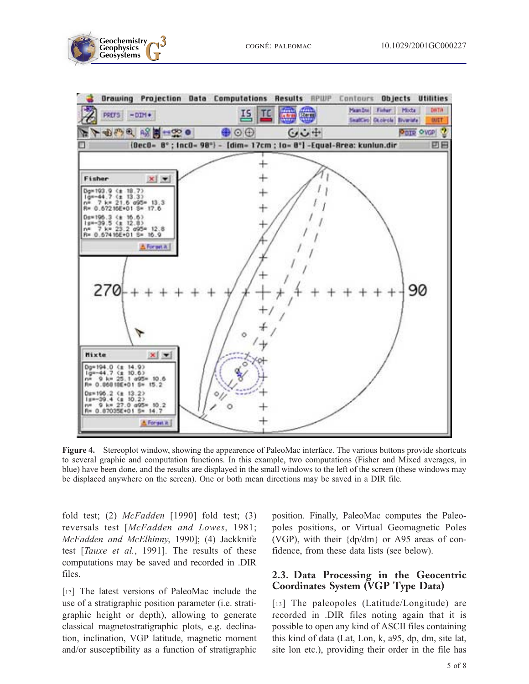



Figure 4. Stereoplot window, showing the appearence of PaleoMac interface. The various buttons provide shortcuts to several graphic and computation functions. In this example, two computations (Fisher and Mixed averages, in blue) have been done, and the results are displayed in the small windows to the left of the screen (these windows may be displaced anywhere on the screen). One or both mean directions may be saved in a DIR file.

fold test; (2)  $McFadden$  [1990] fold test; (3) reversals test [McFadden and Lowes, 1981; McFadden and McElhinny, 1990]; (4) Jackknife test [Tauxe et al., 1991]. The results of these computations may be saved and recorded in .DIR files.

[12] The latest versions of PaleoMac include the use of a stratigraphic position parameter (i.e. stratigraphic height or depth), allowing to generate classical magnetostratigraphic plots, e.g. declination, inclination, VGP latitude, magnetic moment and/or susceptibility as a function of stratigraphic position. Finally, PaleoMac computes the Paleopoles positions, or Virtual Geomagnetic Poles (VGP), with their {dp/dm} or A95 areas of confidence, from these data lists (see below).

#### 2.3. Data Processing in the Geocentric Coordinates System (VGP Type Data)

[13] The paleopoles (Latitude/Longitude) are recorded in .DIR files noting again that it is possible to open any kind of ASCII files containing this kind of data (Lat, Lon, k, a95, dp, dm, site lat, site lon etc.), providing their order in the file has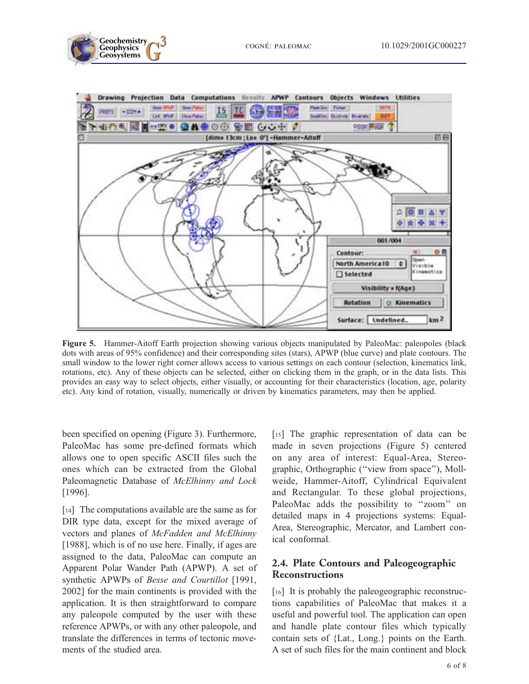



Figure 5. Hammer-Aitoff Earth projection showing various objects manipulated by PaleoMac: paleopoles (black dots with areas of 95% confidence) and their corresponding sites (stars), APWP (blue curve) and plate contours. The small window to the lower right corner allows access to various settings on each contour (selection, kinematics link, rotations, etc). Any of these objects can be selected, either on clicking them in the graph, or in the data lists. This provides an easy way to select objects, either visually, or accounting for their characteristics (location, age, polarity etc). Any kind of rotation, visually, numerically or driven by kinematics parameters, may then be applied.

been specified on opening (Figure 3). Furthermore, PaleoMac has some pre-defined formats which allows one to open specific ASCII files such the ones which can be extracted from the Global Paleomagnetic Database of McElhinny and Lock [1996].

[14] The computations available are the same as for DIR type data, except for the mixed average of vectors and planes of McFadden and McElhinny [1988], which is of no use here. Finally, if ages are assigned to the data, PaleoMac can compute an Apparent Polar Wander Path (APWP). A set of synthetic APWPs of Besse and Courtillot [1991, 2002] for the main continents is provided with the application. It is then straightforward to compare any paleopole computed by the user with these reference APWPs, or with any other paleopole, and translate the differences in terms of tectonic movements of the studied area.

[15] The graphic representation of data can be made in seven projections (Figure 5) centered on any area of interest: Equal-Area, Stereographic, Orthographic (''view from space''), Mollweide, Hammer-Aitoff, Cylindrical Equivalent and Rectangular. To these global projections, PaleoMac adds the possibility to ''zoom'' on detailed maps in 4 projections systems: Equal-Area, Stereographic, Mercator, and Lambert conical conformal.

#### 2.4. Plate Contours and Paleogeographic **Reconstructions**

[16] It is probably the paleogeographic reconstructions capabilities of PaleoMac that makes it a useful and powerful tool. The application can open and handle plate contour files which typically contain sets of {Lat., Long.} points on the Earth. A set of such files for the main continent and block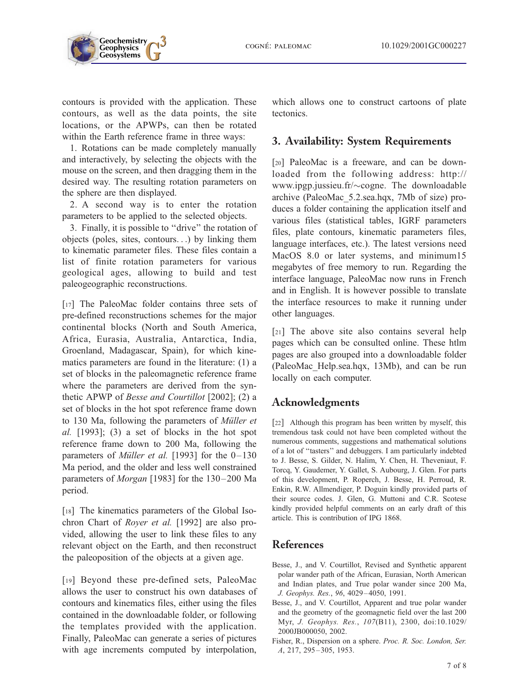contours is provided with the application. These contours, as well as the data points, the site locations, or the APWPs, can then be rotated within the Earth reference frame in three ways:

1. Rotations can be made completely manually and interactively, by selecting the objects with the mouse on the screen, and then dragging them in the desired way. The resulting rotation parameters on the sphere are then displayed.

2. A second way is to enter the rotation parameters to be applied to the selected objects.

3. Finally, it is possible to ''drive'' the rotation of objects (poles, sites, contours...) by linking them to kinematic parameter files. These files contain a list of finite rotation parameters for various geological ages, allowing to build and test paleogeographic reconstructions.

[17] The PaleoMac folder contains three sets of pre-defined reconstructions schemes for the major continental blocks (North and South America, Africa, Eurasia, Australia, Antarctica, India, Groenland, Madagascar, Spain), for which kinematics parameters are found in the literature: (1) a set of blocks in the paleomagnetic reference frame where the parameters are derived from the synthetic APWP of Besse and Courtillot [2002]; (2) a set of blocks in the hot spot reference frame down to 130 Ma, following the parameters of *Müller et* al. [1993]; (3) a set of blocks in the hot spot reference frame down to 200 Ma, following the parameters of *Müller et al.* [1993] for the  $0-130$ Ma period, and the older and less well constrained parameters of Morgan [1983] for the 130–200 Ma period.

[18] The kinematics parameters of the Global Isochron Chart of Royer et al. [1992] are also provided, allowing the user to link these files to any relevant object on the Earth, and then reconstruct the paleoposition of the objects at a given age.

[19] Beyond these pre-defined sets, PaleoMac allows the user to construct his own databases of contours and kinematics files, either using the files contained in the downloadable folder, or following the templates provided with the application. Finally, PaleoMac can generate a series of pictures with age increments computed by interpolation,

which allows one to construct cartoons of plate tectonics.

## 3. Availability: System Requirements

[20] PaleoMac is a freeware, and can be downloaded from the following address: http:// www.ipgp.jussieu.fr/ $\sim$ cogne. The downloadable archive (PaleoMac\_5.2.sea.hqx, 7Mb of size) produces a folder containing the application itself and various files (statistical tables, IGRF parameters files, plate contours, kinematic parameters files, language interfaces, etc.). The latest versions need MacOS 8.0 or later systems, and minimum15 megabytes of free memory to run. Regarding the interface language, PaleoMac now runs in French and in English. It is however possible to translate the interface resources to make it running under other languages.

[21] The above site also contains several help pages which can be consulted online. These htlm pages are also grouped into a downloadable folder (PaleoMac\_Help.sea.hqx, 13Mb), and can be run locally on each computer.

## Acknowledgments

[22] Although this program has been written by myself, this tremendous task could not have been completed without the numerous comments, suggestions and mathematical solutions of a lot of ''tasters'' and debuggers. I am particularly indebted to J. Besse, S. Gilder, N. Halim, Y. Chen, H. Theveniaut, F. Torcq, Y. Gaudemer, Y. Gallet, S. Aubourg, J. Glen. For parts of this development, P. Roperch, J. Besse, H. Perroud, R. Enkin, R.W. Allmendiger, P. Doguin kindly provided parts of their source codes. J. Glen, G. Muttoni and C.R. Scotese kindly provided helpful comments on an early draft of this article. This is contribution of IPG 1868.

## References

- Besse, J., and V. Courtillot, Revised and Synthetic apparent polar wander path of the African, Eurasian, North American and Indian plates, and True polar wander since 200 Ma, J. Geophys. Res., 96, 4029 – 4050, 1991.
- Besse, J., and V. Courtillot, Apparent and true polar wander and the geometry of the geomagnetic field over the last 200 Myr, J. Geophys. Res., 107(B11), 2300, doi:10.1029/ 2000JB000050, 2002.
- Fisher, R., Dispersion on a sphere. Proc. R. Soc. London, Ser. A, 217, 295 – 305, 1953.